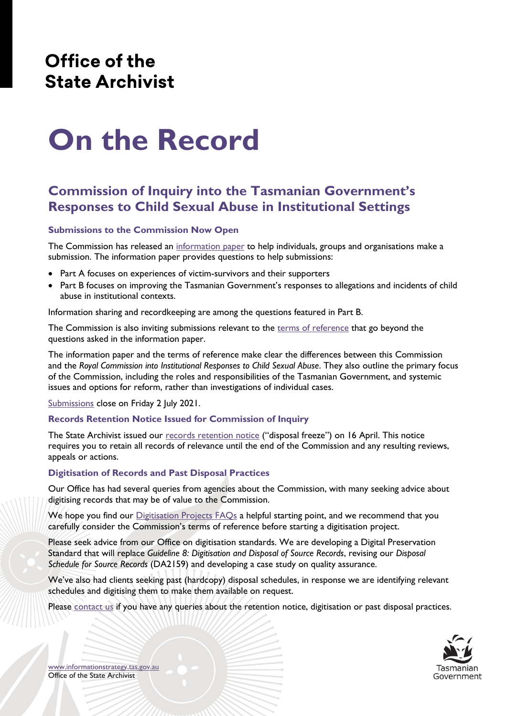## Office of the **State Archivist**

# **On the Record**

## **Commission of Inquiry into the Tasmanian Government's Responses to Child Sexual Abuse in Institutional Settings**

#### **Submissions to the Commission Now Open**

The Commission has released an [information paper](https://www.commissionofinquiry.tas.gov.au/__data/assets/pdf_file/0020/610634/Information-paper-and-guide-to-writing-a-submission.pdf) to help individuals, groups and organisations make a submission. The information paper provides questions to help submissions:

- Part A focuses on experiences of victim-survivors and their supporters
- Part B focuses on improving the Tasmanian Government's responses to allegations and incidents of child abuse in institutional contexts.

Information sharing and recordkeeping are among the questions featured in Part B.

The Commission is also inviting submissions relevant to the [terms of reference](https://www.commissionofinquiry.tas.gov.au/__data/assets/pdf_file/0008/610388/Terms-of-reference.pdf) that go beyond the questions asked in the information paper.

The information paper and the terms of reference make clear the differences between this Commission and the *Royal Commission into Institutional Responses to Child Sexual Abuse*. They also outline the primary focus of the Commission, including the roles and responsibilities of the Tasmanian Government, and systemic issues and options for reform, rather than investigations of individual cases.

[Submissions](https://www.commissionofinquiry.tas.gov.au/submissions) close on Friday 2 July 2021.

#### **Records Retention Notice Issued for Commission of Inquiry**

The State Archivist issued our [records retention notice](https://www.informationstrategy.tas.gov.au/Publications/Documents/Retention%20Notice%20-%20Commission%20of%20Inquiry%20into%20Child%20Sexual%20Abuse%20-%20FINAL.pdf) ("disposal freeze") on 16 April. This notice requires you to retain all records of relevance until the end of the Commission and any resulting reviews, appeals or actions.

#### **Digitisation of Records and Past Disposal Practices**

Our Office has had several queries from agencies about the Commission, with many seeking advice about digitising records that may be of value to the Commission.

We hope you find our *Digitisation Projects FAQs* a helpful starting point, and we recommend that you carefully consider the Commission's terms of reference before starting a digitisation project.

Please seek advice from our Office on digitisation standards. We are developing a Digital Preservation Standard that will replace *Guideline 8: Digitisation and Disposal of Source Records*, revising our *Disposal Schedule for Source Records* (DA2159) and developing a case study on quality assurance.

We've also had clients seeking past (hardcopy) disposal schedules, in response we are identifying relevant schedules and digitising them to make them available on request.

Please [contact us](https://www.informationstrategy.tas.gov.au/About-Us/Pages/Site-Location.aspx) if you have any queries about the retention notice, digitisation or past disposal practices.



[www.informationstrategy.tas.gov.au](http://www.informationstrategy.tas.gov.au/) Office of the State Archivist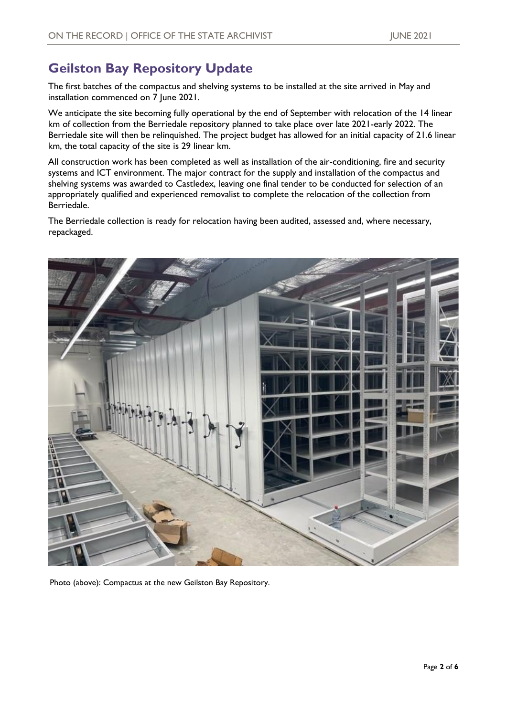## **Geilston Bay Repository Update**

The first batches of the compactus and shelving systems to be installed at the site arrived in May and installation commenced on 7 June 2021.

We anticipate the site becoming fully operational by the end of September with relocation of the 14 linear km of collection from the Berriedale repository planned to take place over late 2021-early 2022. The Berriedale site will then be relinquished. The project budget has allowed for an initial capacity of 21.6 linear km, the total capacity of the site is 29 linear km.

All construction work has been completed as well as installation of the air-conditioning, fire and security systems and ICT environment. The major contract for the supply and installation of the compactus and shelving systems was awarded to Castledex, leaving one final tender to be conducted for selection of an appropriately qualified and experienced removalist to complete the relocation of the collection from Berriedale.

The Berriedale collection is ready for relocation having been audited, assessed and, where necessary, repackaged.



Photo (above): Compactus at the new Geilston Bay Repository.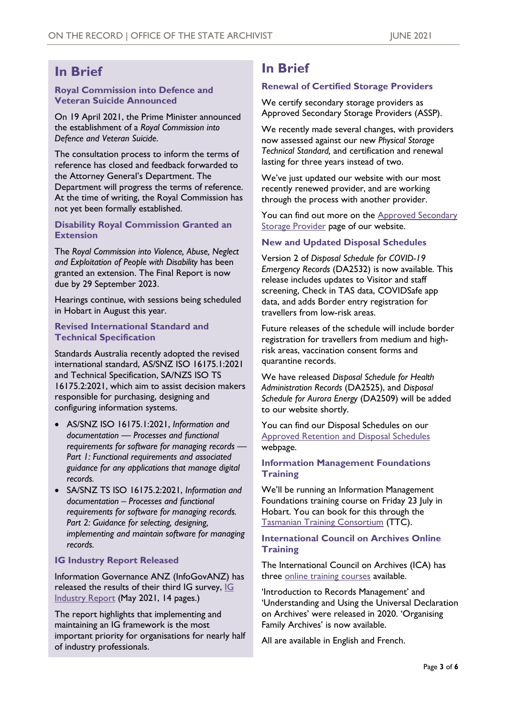## **In Brief**

#### **Royal Commission into Defence and Veteran Suicide Announced**

On 19 April 2021, the Prime Minister announced the establishment of a *Royal Commission into Defence and Veteran Suicide*.

The consultation process to inform the terms of reference has closed and feedback forwarded to the Attorney General's Department. The Department will progress the terms of reference. At the time of writing, the Royal Commission has not yet been formally established.

#### **Disability Royal Commission Granted an Extension**

The *Royal Commission into Violence, Abuse, Neglect and Exploitation of People with Disability* has been granted an extension. The Final Report is now due by 29 September 2023.

Hearings continue, with sessions being scheduled in Hobart in August this year.

#### **Revised International Standard and Technical Specification**

Standards Australia recently adopted the revised international standard, AS/SNZ ISO 16175.1:2021 and Technical Specification, SA/NZS ISO TS 16175.2:2021, which aim to assist decision makers responsible for purchasing, designing and configuring information systems.

- AS/SNZ ISO 16175.1:2021, *Information and documentation — Processes and functional requirements for software for managing records — Part 1: Functional requirements and associated guidance for any applications that manage digital records.*
- SA/SNZ TS ISO 16175.2:2021, *Information and documentation – Processes and functional requirements for software for managing records. Part 2: Guidance for selecting, designing, implementing and maintain software for managing records.*

#### **IG Industry Report Released**

Information Governance ANZ (InfoGovANZ) has released the results of their third [IG](https://www.infogovanz.com/wp-content/uploads/2021/05/InfoGov_IndustrySurvey_MAY2021.pdf) survey, IG [Industry Report](https://www.infogovanz.com/wp-content/uploads/2021/05/InfoGov_IndustrySurvey_MAY2021.pdf) (May 2021, 14 pages.)

The report highlights that implementing and maintaining an IG framework is the most important priority for organisations for nearly half of industry professionals.

## **In Brief**

#### **Renewal of Certified Storage Providers**

We certify secondary storage providers as Approved Secondary Storage Providers (ASSP).

We recently made several changes, with providers now assessed against our new *Physical Storage Technical Standard,* and certification and renewal lasting for three years instead of two.

We've just updated our website with our most recently renewed provider, and are working through the process with another provider.

You can find out more on the **Approved Secondary [Storage Provider](https://www.informationstrategy.tas.gov.au/Resources/Pages/Approved-Providers.aspx) page of our website.** 

#### **New and Updated Disposal Schedules**

Version 2 of *Disposal Schedule for COVID-19 Emergency Records* (DA2532) is now available. This release includes updates to Visitor and staff screening, Check in TAS data, COVIDSafe app data, and adds Border entry registration for travellers from low-risk areas.

Future releases of the schedule will include border registration for travellers from medium and highrisk areas, vaccination consent forms and quarantine records.

We have released *Disposal Schedule for Health Administration Records* (DA2525), and *Disposal Schedule for Aurora Energy* (DA2509) will be added to our website shortly.

You can find our Disposal Schedules on our [Approved Retention and Disposal Schedules](https://www.informationstrategy.tas.gov.au/Publications/Pages/RDS-List.aspx) webpage.

#### **Information Management Foundations Training**

We'll be running an Information Management Foundations training course on Friday 23 July in Hobart. You can book for this through the [Tasmanian Training Consortium](https://www.ttc.tas.gov.au/) (TTC).

#### **International Council on Archives Online Training**

The International Council on Archives (ICA) has three [online training courses](https://www.ica.org/en/training-programme) available.

'Introduction to Records Management' and 'Understanding and Using the Universal Declaration on Archives' were released in 2020. 'Organising Family Archives' is now available.

All are available in English and French.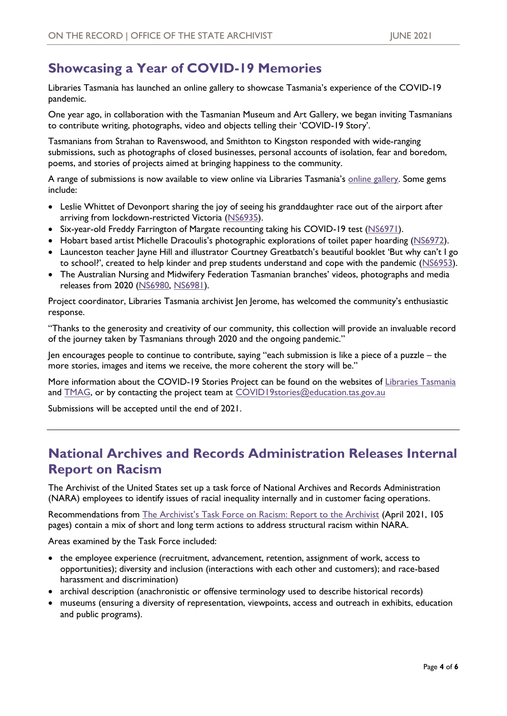## **Showcasing a Year of COVID-19 Memories**

Libraries Tasmania has launched an online gallery to showcase Tasmania's experience of the COVID-19 pandemic.

One year ago, in collaboration with the Tasmanian Museum and Art Gallery, we began inviting Tasmanians to contribute writing, photographs, video and objects telling their 'COVID-19 Story'.

Tasmanians from Strahan to Ravenswood, and Smithton to Kingston responded with wide-ranging submissions, such as photographs of closed businesses, personal accounts of isolation, fear and boredom, poems, and stories of projects aimed at bringing happiness to the community.

A range of submissions is now available to view online via Libraries Tasmania's [online gallery.](https://www.libraries.tas.gov.au/features/Pages/CovidStories.aspx) Some gems include:

- Leslie Whittet of Devonport sharing the joy of seeing his granddaughter race out of the airport after arriving from lockdown-restricted Victoria [\(NS6935\)](https://librariestas.ent.sirsidynix.net.au/client/en_AU/tas/search/detailnonmodal/ent:$002f$002fARCHIVES_SERIES$002f0$002fARCHIVES_SER_DIX:NS6935/one).
- Six-year-old Freddy Farrington of Margate recounting taking his COVID-19 test [\(NS6971\)](https://librariestas.ent.sirsidynix.net.au/client/en_AU/tas/search/detailnonmodal/ent:$002f$002fARCHIVES_SERIES$002f0$002fARCHIVES_SER_DIX:NS6971/one).
- Hobart based artist Michelle Dracoulis's photographic explorations of toilet paper hoarding ([NS6972\)](https://librariestas.ent.sirsidynix.net.au/client/en_AU/tas/search/detailnonmodal/ent:$002f$002fARCHIVES_SERIES$002f0$002fARCHIVES_SER_DIX:NS6972/one).
- Launceston teacher Jayne Hill and illustrator Courtney Greatbatch's beautiful booklet 'But why can't I go to school?', created to help kinder and prep students understand and cope with the pandemic ([NS6953\)](https://librariestas.ent.sirsidynix.net.au/client/en_AU/tas/search/detailnonmodal/ent:$002f$002fARCHIVES_SERIES$002f0$002fARCHIVES_SER_DIX:NS6953/one).
- The Australian Nursing and Midwifery Federation Tasmanian branches' videos, photographs and media releases from 2020 [\(NS6980,](https://librariestas.ent.sirsidynix.net.au/client/en_AU/tas/search/detailnonmodal/ent:$002f$002fARCHIVES_SERIES$002f0$002fARCHIVES_SER_DIX:NS6980/one) [NS6981\)](https://librariestas.ent.sirsidynix.net.au/client/en_AU/tas/search/detailnonmodal/ent:$002f$002fARCHIVES_SERIES$002f0$002fARCHIVES_SER_DIX:NS6981/one).

Project coordinator, Libraries Tasmania archivist Jen Jerome, has welcomed the community's enthusiastic response.

"Thanks to the generosity and creativity of our community, this collection will provide an invaluable record of the journey taken by Tasmanians through 2020 and the ongoing pandemic."

Jen encourages people to continue to contribute, saying "each submission is like a piece of a puzzle – the more stories, images and items we receive, the more coherent the story will be."

More information about the COVID-19 Stories Project can be found on the websites of [Libraries Tasmania](http://www.libraries.tas.gov.au/) and **TMAG**, or by contacting the project team at **COVID19stories@education.tas.gov.au** 

Submissions will be accepted until the end of 2021.

## **National Archives and Records Administration Releases Internal Report on Racism**

The Archivist of the United States set up a task force of National Archives and Records Administration (NARA) employees to identify issues of racial inequality internally and in customer facing operations.

Recommendations from [The Archivist's Task Force on Racism: Report to the Archivist](https://www.archives.gov/news/topics/recommendations-from-internal-task-force-on-racism) (April 2021, 105 pages) contain a mix of short and long term actions to address structural racism within NARA.

Areas examined by the Task Force included:

- the employee experience (recruitment, advancement, retention, assignment of work, access to opportunities); diversity and inclusion (interactions with each other and customers); and race-based harassment and discrimination)
- archival description (anachronistic or offensive terminology used to describe historical records)
- museums (ensuring a diversity of representation, viewpoints, access and outreach in exhibits, education and public programs).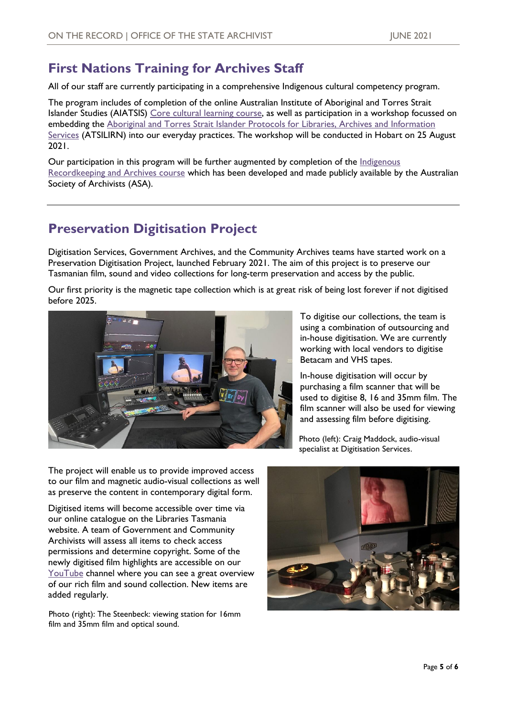## **First Nations Training for Archives Staff**

All of our staff are currently participating in a comprehensive Indigenous cultural competency program.

The program includes of completion of the online Australian Institute of Aboriginal and Torres Strait Islander Studies (AIATSIS) [Core cultural learning course,](https://aiatsis.gov.au/about/what-we-do/core-cultural-learning) as well as participation in a workshop focussed on embedding the Aboriginal and Torres Strait Islander Protocols for Libraries, Archives and Information [Services](https://atsilirn.aiatsis.gov.au/protocols.php) [\(ATSILIRN\) in](https://atsilirn.aiatsis.gov.au/protocols.php)to our everyday practices. The workshop will be conducted in Hobart on 25 August 2021.

Our participation in this program will be further augmented by completion of the *Indigenous* [Recordkeeping and Archives course](https://www.archivists.org.au/events/event/indigenous-recordkeeping-and-archives) which has been developed and made publicly available by the Australian Society of Archivists (ASA).

## **Preservation Digitisation Project**

Digitisation Services, Government Archives, and the Community Archives teams have started work on a Preservation Digitisation Project, launched February 2021. The aim of this project is to preserve our Tasmanian film, sound and video collections for long-term preservation and access by the public.

Our first priority is the magnetic tape collection which is at great risk of being lost forever if not digitised before 2025.



To digitise our collections, the team is using a combination of outsourcing and in-house digitisation. We are currently working with local vendors to digitise Betacam and VHS tapes.

In-house digitisation will occur by purchasing a film scanner that will be used to digitise 8, 16 and 35mm film. The film scanner will also be used for viewing and assessing film before digitising.

Photo (left): Craig Maddock, audio-visual specialist at Digitisation Services.

The project will enable us to provide improved access to our film and magnetic audio-visual collections as well as preserve the content in contemporary digital form.

Digitised items will become accessible over time via our online catalogue on the Libraries Tasmania website. A team of Government and Community Archivists will assess all items to check access permissions and determine copyright. Some of the newly digitised film highlights are accessible on our [YouTube](https://www.youtube.com/user/LINCTasmania) channel where you can see a great overview of our rich film and sound collection. New items are added regularly.

Photo (right): The Steenbeck: viewing station for 16mm film and 35mm film and optical sound.